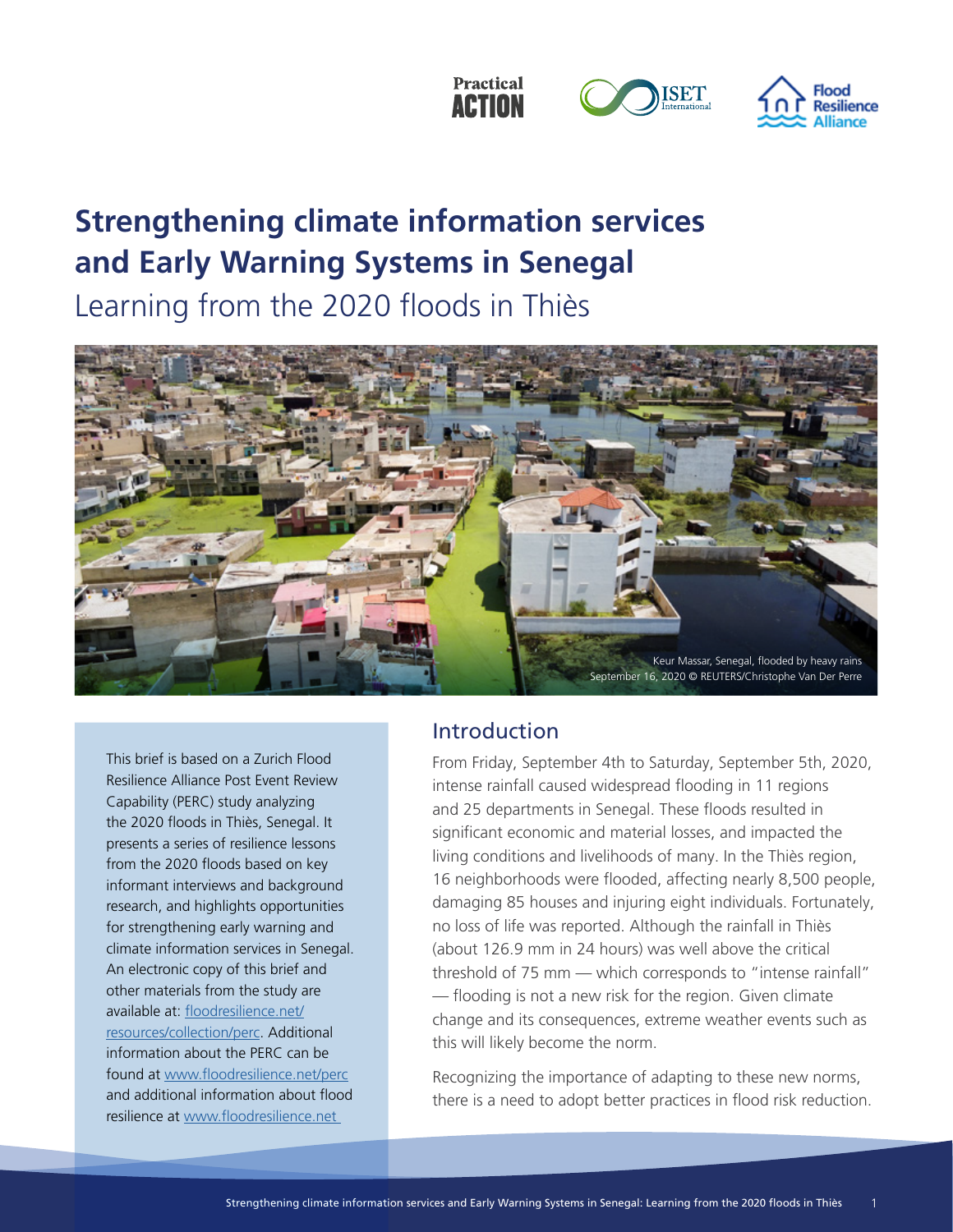



**ISET** 

## **Strengthening climate information services and Early Warning Systems in Senegal**

Learning from the 2020 floods in Thiès



This brief is based on a Zurich Flood Resilience Alliance Post Event Review Capability (PERC) study analyzing the 2020 floods in Thiès, Senegal. It presents a series of resilience lessons from the 2020 floods based on key informant interviews and background research, and highlights opportunities for strengthening early warning and climate information services in Senegal. An electronic copy of this brief and other materials from the study are available at: floodresilience.net/ resources/collection/perc. Additional information about the PERC can be found at www.floodresilience.net/perc and additional information about flood resilience at www.floodresilience.net

## Introduction

From Friday, September 4th to Saturday, September 5th, 2020, intense rainfall caused widespread flooding in 11 regions and 25 departments in Senegal. These floods resulted in significant economic and material losses, and impacted the living conditions and livelihoods of many. In the Thiès region, 16 neighborhoods were flooded, affecting nearly 8,500 people, damaging 85 houses and injuring eight individuals. Fortunately, no loss of life was reported. Although the rainfall in Thiès (about 126.9 mm in 24 hours) was well above the critical threshold of 75 mm — which corresponds to "intense rainfall" — flooding is not a new risk for the region. Given climate change and its consequences, extreme weather events such as this will likely become the norm.

Recognizing the importance of adapting to these new norms, there is a need to adopt better practices in flood risk reduction.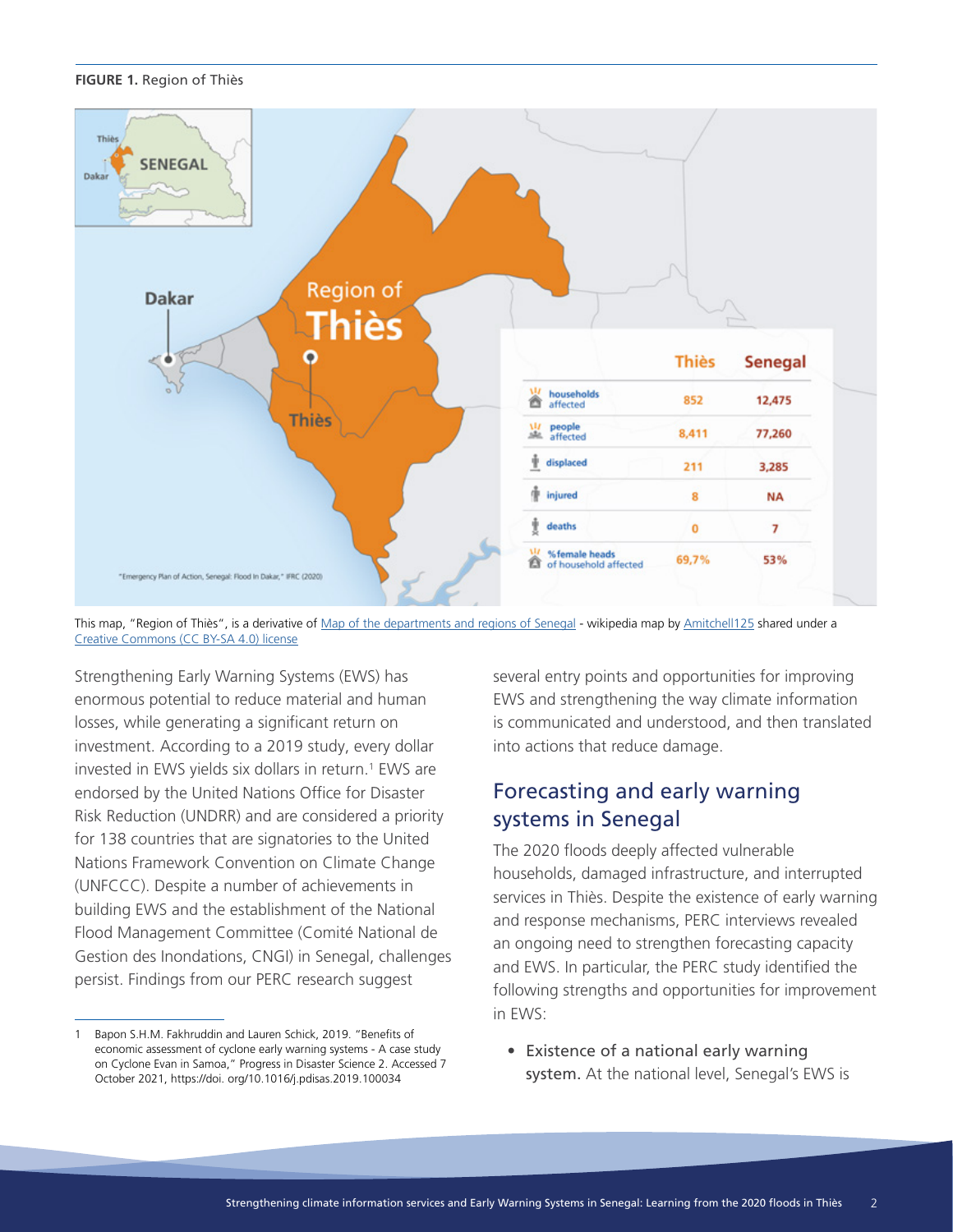### **FIGURE 1.** Region of Thiès



This map, "Region of Thiès", is a derivative of Map of the departments and regions of Senegal - wikipedia map by Amitchell125 shared under a Creative Commons (CC BY-SA 4.0) license

Strengthening Early Warning Systems (EWS) has enormous potential to reduce material and human losses, while generating a significant return on investment. According to a 2019 study, every dollar invested in EWS yields six dollars in return.<sup>1</sup> EWS are endorsed by the United Nations Office for Disaster Risk Reduction (UNDRR) and are considered a priority for 138 countries that are signatories to the United Nations Framework Convention on Climate Change (UNFCCC). Despite a number of achievements in building EWS and the establishment of the National Flood Management Committee (Comité National de Gestion des Inondations, CNGI) in Senegal, challenges persist. Findings from our PERC research suggest

several entry points and opportunities for improving EWS and strengthening the way climate information is communicated and understood, and then translated into actions that reduce damage.

## Forecasting and early warning systems in Senegal

The 2020 floods deeply affected vulnerable households, damaged infrastructure, and interrupted services in Thiès. Despite the existence of early warning and response mechanisms, PERC interviews revealed an ongoing need to strengthen forecasting capacity and EWS. In particular, the PERC study identified the following strengths and opportunities for improvement in EWS:

• Existence of a national early warning system. At the national level, Senegal's EWS is

<sup>1</sup> Bapon S.H.M. Fakhruddin and Lauren Schick, 2019. "Benefits of economic assessment of cyclone early warning systems - A case study on Cyclone Evan in Samoa," Progress in Disaster Science 2. Accessed 7 October 2021, https://doi. org/10.1016/j.pdisas.2019.100034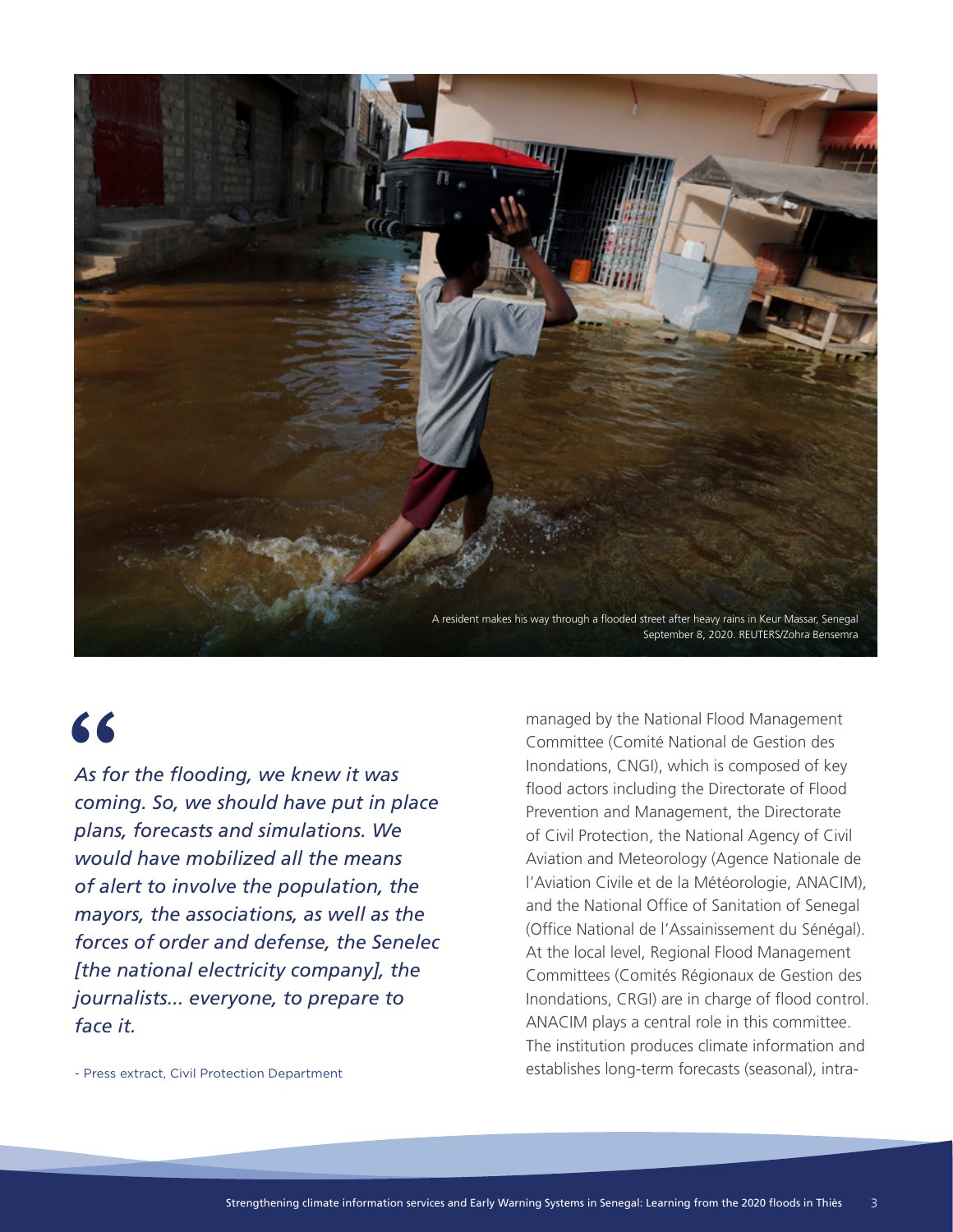

# "

*As for the flooding, we knew it was coming. So, we should have put in place plans, forecasts and simulations. We would have mobilized all the means of alert to involve the population, the mayors, the associations, as well as the forces of order and defense, the Senelec [the national electricity company], the journalists... everyone, to prepare to face it.*

- Press extract, Civil Protection Department

managed by the National Flood Management Committee (Comité National de Gestion des Inondations, CNGI), which is composed of key flood actors including the Directorate of Flood Prevention and Management, the Directorate of Civil Protection, the National Agency of Civil Aviation and Meteorology (Agence Nationale de l'Aviation Civile et de la Météorologie, ANACIM), and the National Office of Sanitation of Senegal (Office National de l'Assainissement du Sénégal). At the local level, Regional Flood Management Committees (Comités Régionaux de Gestion des Inondations, CRGI) are in charge of flood control. ANACIM plays a central role in this committee. The institution produces climate information and establishes long-term forecasts (seasonal), intra-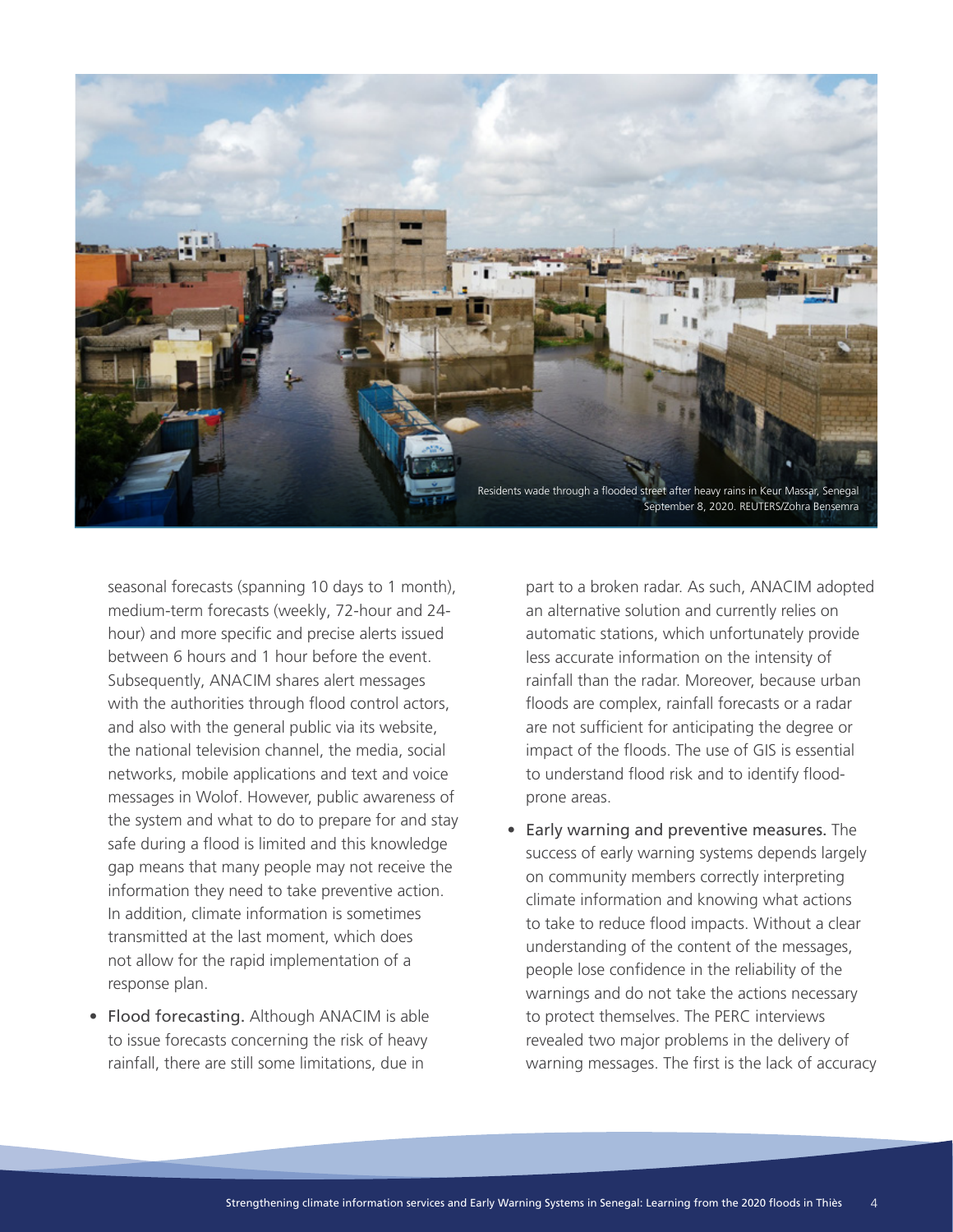

seasonal forecasts (spanning 10 days to 1 month), medium-term forecasts (weekly, 72-hour and 24 hour) and more specific and precise alerts issued between 6 hours and 1 hour before the event. Subsequently, ANACIM shares alert messages with the authorities through flood control actors, and also with the general public via its website, the national television channel, the media, social networks, mobile applications and text and voice messages in Wolof. However, public awareness of the system and what to do to prepare for and stay safe during a flood is limited and this knowledge gap means that many people may not receive the information they need to take preventive action. In addition, climate information is sometimes transmitted at the last moment, which does not allow for the rapid implementation of a response plan.

• Flood forecasting. Although ANACIM is able to issue forecasts concerning the risk of heavy rainfall, there are still some limitations, due in

part to a broken radar. As such, ANACIM adopted an alternative solution and currently relies on automatic stations, which unfortunately provide less accurate information on the intensity of rainfall than the radar. Moreover, because urban floods are complex, rainfall forecasts or a radar are not sufficient for anticipating the degree or impact of the floods. The use of GIS is essential to understand flood risk and to identify floodprone areas.

• Early warning and preventive measures. The success of early warning systems depends largely on community members correctly interpreting climate information and knowing what actions to take to reduce flood impacts. Without a clear understanding of the content of the messages, people lose confidence in the reliability of the warnings and do not take the actions necessary to protect themselves. The PERC interviews revealed two major problems in the delivery of warning messages. The first is the lack of accuracy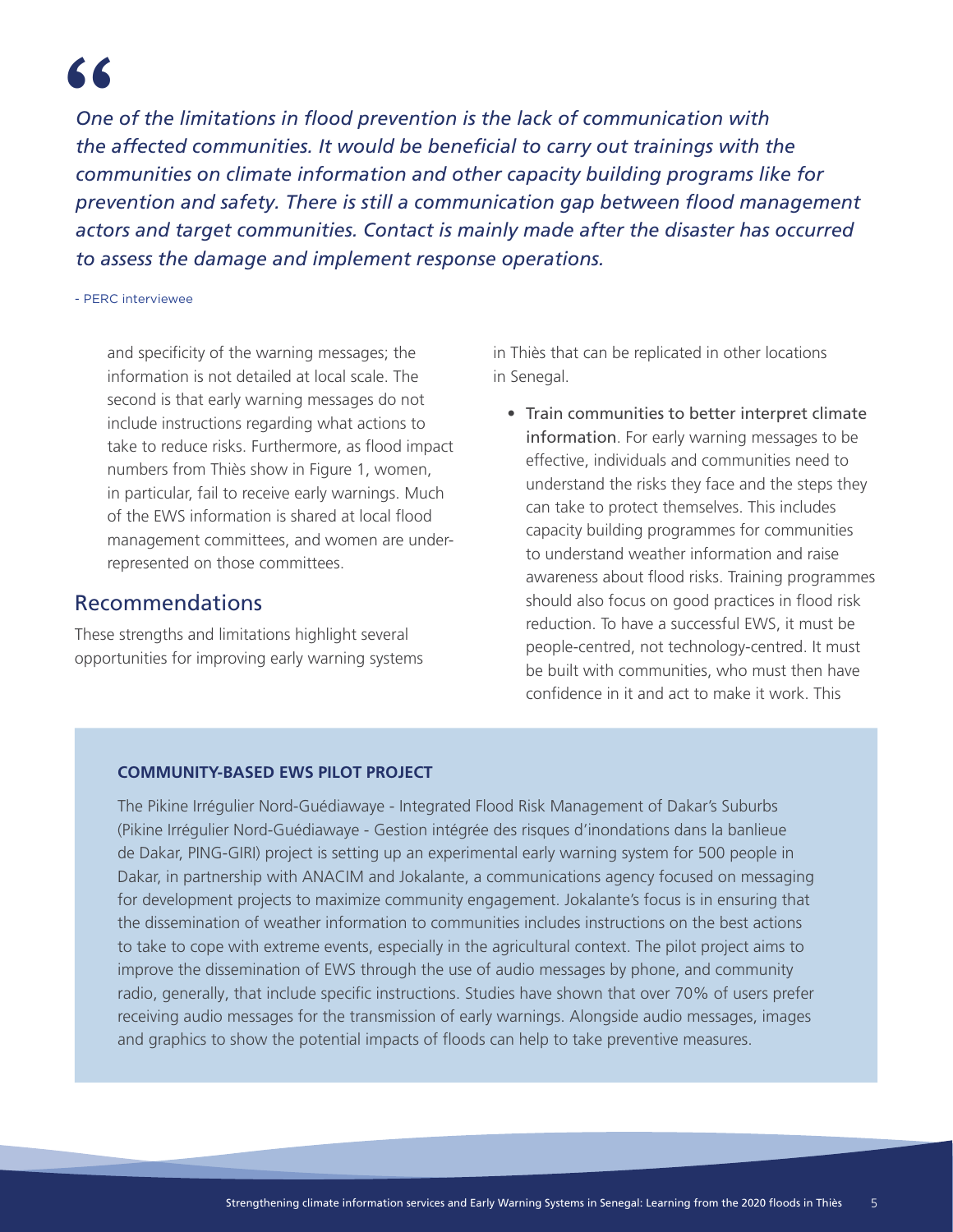*One of the limitations in flood prevention is the lack of communication with the affected communities. It would be beneficial to carry out trainings with the communities on climate information and other capacity building programs like for prevention and safety. There is still a communication gap between flood management actors and target communities. Contact is mainly made after the disaster has occurred to assess the damage and implement response operations.* 66<br>One o<br>the aff

### - PERC interviewee

and specificity of the warning messages; the information is not detailed at local scale. The second is that early warning messages do not include instructions regarding what actions to take to reduce risks. Furthermore, as flood impact numbers from Thiès show in Figure 1, women, in particular, fail to receive early warnings. Much of the EWS information is shared at local flood management committees, and women are underrepresented on those committees.

### Recommendations

These strengths and limitations highlight several opportunities for improving early warning systems in Thiès that can be replicated in other locations in Senegal.

• Train communities to better interpret climate information. For early warning messages to be effective, individuals and communities need to understand the risks they face and the steps they can take to protect themselves. This includes capacity building programmes for communities to understand weather information and raise awareness about flood risks. Training programmes should also focus on good practices in flood risk reduction. To have a successful EWS, it must be people-centred, not technology-centred. It must be built with communities, who must then have confidence in it and act to make it work. This

### **COMMUNITY-BASED EWS PILOT PROJECT**

The Pikine Irrégulier Nord-Guédiawaye - Integrated Flood Risk Management of Dakar's Suburbs (Pikine Irrégulier Nord-Guédiawaye - Gestion intégrée des risques d'inondations dans la banlieue de Dakar, PING-GIRI) project is setting up an experimental early warning system for 500 people in Dakar, in partnership with ANACIM and Jokalante, a communications agency focused on messaging for development projects to maximize community engagement. Jokalante's focus is in ensuring that the dissemination of weather information to communities includes instructions on the best actions to take to cope with extreme events, especially in the agricultural context. The pilot project aims to improve the dissemination of EWS through the use of audio messages by phone, and community radio, generally, that include specific instructions. Studies have shown that over 70% of users prefer receiving audio messages for the transmission of early warnings. Alongside audio messages, images and graphics to show the potential impacts of floods can help to take preventive measures.